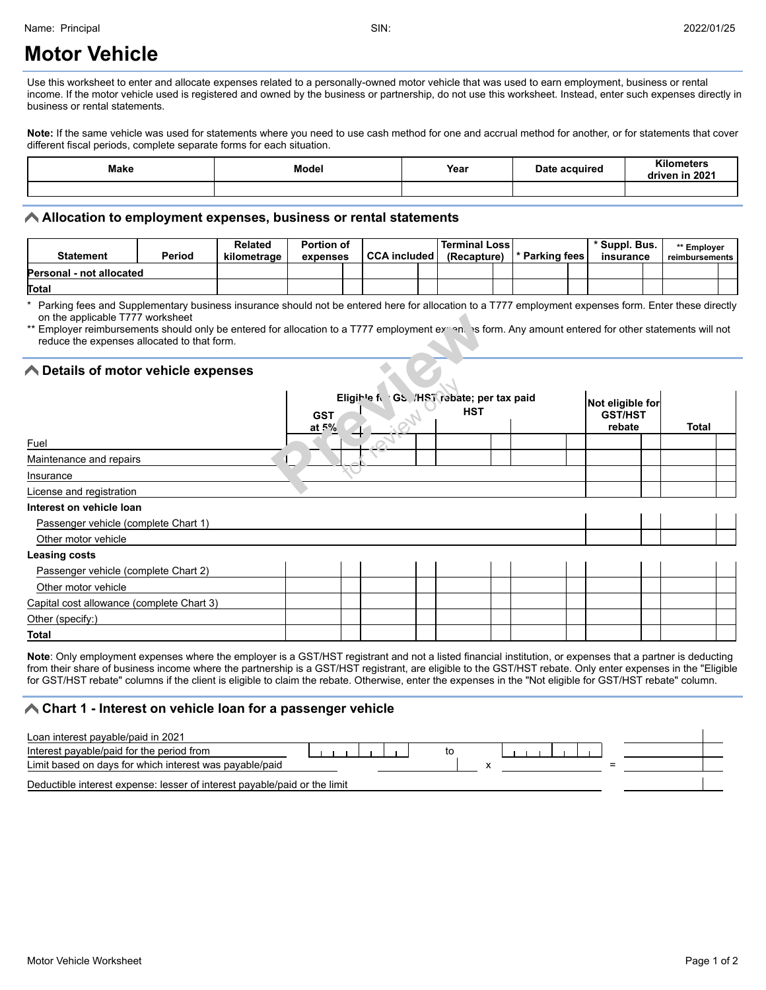# **Motor Vehicle**

Use this worksheet to enter and allocate expenses related to a personally-owned motor vehicle that was used to earn employment, business or rental income. If the motor vehicle used is registered and owned by the business or partnership, do not use this worksheet. Instead, enter such expenses directly in business or rental statements.

Note: If the same vehicle was used for statements where you need to use cash method for one and accrual method for another, or for statements that cover different fiscal periods, complete separate forms for each situation.

| Make | Model | Year | <b>Date</b><br>acquired : | <b>Kilometers</b><br>in 2021<br>iven<br>л |
|------|-------|------|---------------------------|-------------------------------------------|
|      |       |      |                           |                                           |

#### **Allocation to employment expenses, business or rental statements**

| Statement                       | Period | <b>Related</b><br>kilometrage | <b>Portion of</b><br>expenses | <b>CCA included</b> | <b>Terminal Loss</b><br>(Recapture) | * Parking fees | * Suppl. Bus.<br>insurance | ' Employer<br>reimbursements |  |
|---------------------------------|--------|-------------------------------|-------------------------------|---------------------|-------------------------------------|----------------|----------------------------|------------------------------|--|
| <b>Personal - not allocated</b> |        |                               |                               |                     |                                     |                |                            |                              |  |
| Total                           |        |                               |                               |                     |                                     |                |                            |                              |  |

\* Parking fees and Supplementary business insurance should not be entered here for allocation to a T777 employment expenses form. Enter these directly on the applicable T777 worksheet

### **Details of motor vehicle expenses**

| <b>▶ Details of motor vehicle expenses</b> |                        |                                           |  |            |  |                                              |              |  |
|--------------------------------------------|------------------------|-------------------------------------------|--|------------|--|----------------------------------------------|--------------|--|
|                                            | <b>GST</b><br>at $5\%$ | Eligible for GS /HST rebate; per tax paid |  | <b>HST</b> |  | Not eligible for<br><b>GST/HST</b><br>rebate | <b>Total</b> |  |
| Fuel                                       |                        |                                           |  |            |  |                                              |              |  |
| Maintenance and repairs                    |                        |                                           |  |            |  |                                              |              |  |
| Insurance                                  |                        |                                           |  |            |  |                                              |              |  |
| License and registration                   |                        |                                           |  |            |  |                                              |              |  |
| Interest on vehicle loan                   |                        |                                           |  |            |  |                                              |              |  |
| Passenger vehicle (complete Chart 1)       |                        |                                           |  |            |  |                                              |              |  |
| Other motor vehicle                        |                        |                                           |  |            |  |                                              |              |  |
| <b>Leasing costs</b>                       |                        |                                           |  |            |  |                                              |              |  |
| Passenger vehicle (complete Chart 2)       |                        |                                           |  |            |  |                                              |              |  |
| Other motor vehicle                        |                        |                                           |  |            |  |                                              |              |  |
| Capital cost allowance (complete Chart 3)  |                        |                                           |  |            |  |                                              |              |  |
| Other (specify:)                           |                        |                                           |  |            |  |                                              |              |  |
| <b>Total</b>                               |                        |                                           |  |            |  |                                              |              |  |

Note: Only employment expenses where the employer is a GST/HST registrant and not a listed financial institution, or expenses that a partner is deducting from their share of business income where the partnership is a GST/HST registrant, are eligible to the GST/HST rebate. Only enter expenses in the "Eligible for GST/HST rebate" columns if the client is eligible to claim the rebate. Otherwise, enter the expenses in the "Not eligible for GST/HST rebate" column.

#### **Chart 1 - Interest on vehicle loan for a passenger vehicle**

| Loan interest payable/paid in 2021                                        |  |  |  |  |
|---------------------------------------------------------------------------|--|--|--|--|
| Interest payable/paid for the period from                                 |  |  |  |  |
| Limit based on days for which interest was payable/paid                   |  |  |  |  |
| Deductible interest expense: lesser of interest payable/paid or the limit |  |  |  |  |